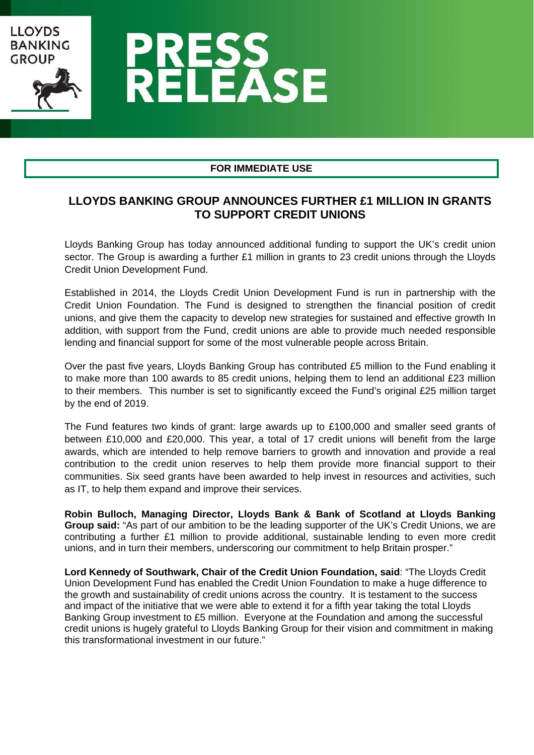

### **FOR IMMEDIATE USE**

# **LLOYDS BANKING GROUP ANNOUNCES FURTHER £1 MILLION IN GRANTS TO SUPPORT CREDIT UNIONS**

Lloyds Banking Group has today announced additional funding to support the UK's credit union sector. The Group is awarding a further £1 million in grants to 23 credit unions through the Lloyds Credit Union Development Fund.

Established in 2014, the Lloyds Credit Union Development Fund is run in partnership with the Credit Union Foundation. The Fund is designed to strengthen the financial position of credit unions, and give them the capacity to develop new strategies for sustained and effective growth In addition, with support from the Fund, credit unions are able to provide much needed responsible lending and financial support for some of the most vulnerable people across Britain.

Over the past five years, Lloyds Banking Group has contributed £5 million to the Fund enabling it to make more than 100 awards to 85 credit unions, helping them to lend an additional £23 million to their members. This number is set to significantly exceed the Fund's original £25 million target by the end of 2019.

The Fund features two kinds of grant: large awards up to £100,000 and smaller seed grants of between £10,000 and £20,000. This year, a total of 17 credit unions will benefit from the large awards, which are intended to help remove barriers to growth and innovation and provide a real contribution to the credit union reserves to help them provide more financial support to their communities. Six seed grants have been awarded to help invest in resources and activities, such as IT, to help them expand and improve their services.

**Robin Bulloch, Managing Director, Lloyds Bank & Bank of Scotland at Lloyds Banking Group said:** "As part of our ambition to be the leading supporter of the UK's Credit Unions, we are contributing a further £1 million to provide additional, sustainable lending to even more credit unions, and in turn their members, underscoring our commitment to help Britain prosper."

**Lord Kennedy of Southwark, Chair of the Credit Union Foundation, said**: "The Lloyds Credit Union Development Fund has enabled the Credit Union Foundation to make a huge difference to the growth and sustainability of credit unions across the country. It is testament to the success and impact of the initiative that we were able to extend it for a fifth year taking the total Lloyds Banking Group investment to £5 million. Everyone at the Foundation and among the successful credit unions is hugely grateful to Lloyds Banking Group for their vision and commitment in making this transformational investment in our future."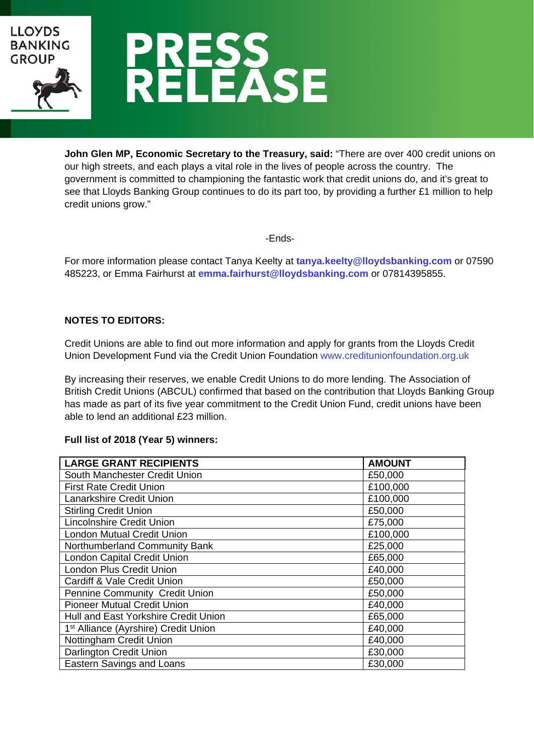

**John Glen MP, Economic Secretary to the Treasury, said:** "There are over 400 credit unions on our high streets, and each plays a vital role in the lives of people across the country. The government is committed to championing the fantastic work that credit unions do, and it's great to see that Lloyds Banking Group continues to do its part too, by providing a further £1 million to help credit unions grow."

-Ends-

For more information please contact Tanya Keelty at **tanya.keelty@lloydsbanking.com** or 07590 485223, or Emma Fairhurst at **emma.fairhurst@lloydsbanking.com** or 07814395855.

## **NOTES TO EDITORS:**

Credit Unions are able to find out more information and apply for grants from the Lloyds Credit Union Development Fund via the Credit Union Foundation www.creditunionfoundation.org.uk

By increasing their reserves, we enable Credit Unions to do more lending. The Association of British Credit Unions (ABCUL) confirmed that based on the contribution that Lloyds Banking Group has made as part of its five year commitment to the Credit Union Fund, credit unions have been able to lend an additional £23 million.

#### **Full list of 2018 (Year 5) winners:**

| <b>LARGE GRANT RECIPIENTS</b>                    | <b>AMOUNT</b> |
|--------------------------------------------------|---------------|
| South Manchester Credit Union                    | £50,000       |
| <b>First Rate Credit Union</b>                   | £100,000      |
| Lanarkshire Credit Union                         | £100,000      |
| <b>Stirling Credit Union</b>                     | £50,000       |
| <b>Lincolnshire Credit Union</b>                 | £75,000       |
| <b>London Mutual Credit Union</b>                | £100,000      |
| Northumberland Community Bank                    | £25,000       |
| London Capital Credit Union                      | £65,000       |
| <b>London Plus Credit Union</b>                  | £40,000       |
| Cardiff & Vale Credit Union                      | £50,000       |
| <b>Pennine Community Credit Union</b>            | £50,000       |
| <b>Pioneer Mutual Credit Union</b>               | £40,000       |
| Hull and East Yorkshire Credit Union             | £65,000       |
| 1 <sup>st</sup> Alliance (Ayrshire) Credit Union | £40,000       |
| Nottingham Credit Union                          | £40,000       |
| Darlington Credit Union                          | £30,000       |
| <b>Eastern Savings and Loans</b>                 | £30,000       |